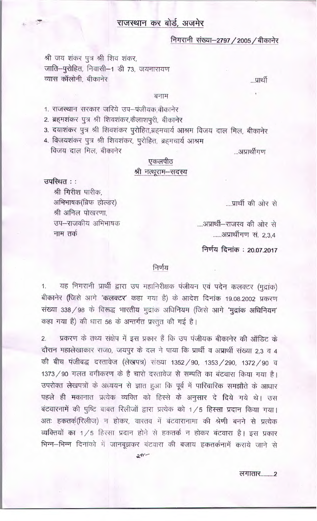### राजस्थान कर बोर्ड, अजमेर

#### निगरानी संख्या–2797 / 2005 / बीकानेर

श्री जय शंकर पुत्र श्री शिव शंकर, जाति-पुरोहित, निवासी-1 डी 73, जयनारायण व्यास कॉलोनी, बीकानेर

...प्रार्थी

#### बनाम

- 1. राजस्थान सरकार जरिये उप-पंजीयक,बीकानेर
- 2. ब्रहमशंकर पुत्र श्री शिवशंकर,केलाशपुरी, बीकानेर
- 3. दयाशंकर पुत्र श्री शिवशंकर पुरोहित,ब्रहमचार्य आश्रम विजय दाल मिल, बीकानेर
- 4. विजयशंकर पुत्र श्री शिवशंकर, पुरोहित, ब्रहमचार्य आश्रम विजय दाल मिल, बीकानेर

#### एकलपीठ

#### श्री नत्थूराम-सदस्य

उपस्थित ::

श्री गिरीश पारीक, अभिभाषक(ब्रिफ होल्डर) श्री अनिल पोखरणा. उप-राजकीय अभिभाषक नाम तर्क

....प्रार्थी की ओर से

...अप्रार्थीगण

....आप्रार्थी-राजस्व की ओर से ......आप्रार्थीगण सं. 2,3,4

निर्णय दिनांक: 20.07.2017

#### निर्णय

यह निगरानी प्रार्थी द्वारा उप महानिरीक्षक पंजीयन एवं पदेन कलक्टर (मुद्रांक) 1. बीकानेर (जिसे आगे 'कलक्टर' कहा गया है) के आदेश दिनांक 19.08.2002 प्रकरण संख्या 338 / 98 के विरूद्ध भारतीय मुद्रांक अधिनियम (जिसे आगे 'मुद्रांक अधिनियम' कहा गया है) की धारा 56 के अन्तर्गत प्रस्तुत की गई है।

प्रकरण के तथ्य संक्षेप में इस प्रकार हैं कि उप पंजीयक बीकानेर की ऑडिट के  $2.$ दौरान महालेखाकार राज0, जयपुर के दल ने पाया कि प्रार्थी व अप्रार्थी संख्या 2.3 व 4 की बीच पंजीबद्ध दस्तावेज (लेखपत्र) संख्या 1352 / 90, 1353 / 290, 1372 / 90 व 1373 / 90 गलत वगीकरण के है चारो दरतावेज से सम्पति का बंटवारा किया गया है। उपरोक्त लेखपत्रों के अध्ययन से ज्ञात हुआ कि पूर्व में पारिवारिक समझौते के आधार पहले ही मकानात प्रत्येक व्यक्ति को हिस्से के अनुसार दे दिये गये थे। उस बंटवारनामें की पुष्टि बाबत रिलीजों द्वारा प्रत्येक को 1/5 हिस्सा प्रदान किया गया। अतः हकतर्क(रिलीज) न होकर, वास्तव में बंटवारानामा की श्रेणी बनने से प्रत्येक व्यक्तियों का 1/5 हिस्सा प्रदान होने से हकतर्क न होकर बंटवारा है। इस प्रकार भिन्न-भिन्न दिनांको में जानबूझकर बंटवारा की बजाय हकतर्कनामें कराये जाने से

 $2W -$ 

लगातार.........2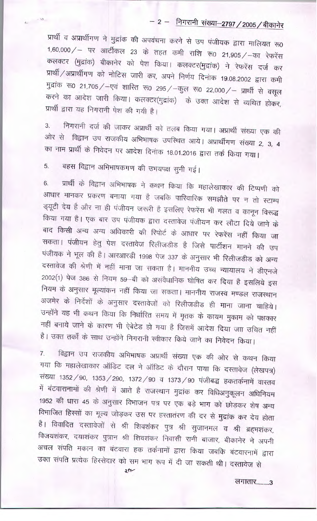# - 2 - निगरानी संख्या-2797 / 2005 / बीकानेर

प्रार्थी व अप्रार्थीगण ने मुद्रांक की अपवंचना करने से उप पंजीयक द्वारा मालियत रू0 1,60,000 / – पर आर्टीकल 23 के तहत कमी राशि रू0 21,905 / –का रेफरेंस कलक्टर (मुद्रांक) बीकानेर को पेश किया। कलक्टर(मुद्रांक) ने रेफरेंस दर्ज कर प्रार्थी / अप्रार्थीगण को नोटिस जारी कर, अपने निर्णय दिनांक 19.08.2002 द्वारा कमी मुद्रांक रु0 21,705 / -एवं शारित रु0 295 / -कुल रु0 22,000 / - प्रार्थी से वसूल करने का आदेश जारी किया। कलक्टर(मुद्रांक) के उक्त आदेश से व्यथित होकर, प्रार्थी द्वारा यह निगरानी पेश की गयी है।

निगरानी दर्ज की जाकर अप्रार्थी को तलब किया गया। अप्रार्थी संख्या एक की 3. ओर से विद्वान उप राजकीय अभिभाषक उपस्थित आये। अप्रार्थीगण संख्या 2, 3, 4 का नाम प्रार्थी के निवेदन पर आदेश दिनांक 18.01.2016 द्वारा तर्क किया गया।

बहस विद्वान अभिभाषकगण की उभयपक्ष सुनी गई। 5.

प्रार्थी के विद्वान अभिभाषक ने कथन किया कि महालेखाकार की टिप्पणी को 6. आधार मानकर प्रकरण बनाया गया है जबकि पारिवारिक समझौते पर न तो स्टाम्प ड्यूटी देय है और ना ही पंजीयन जरूरी है इसलिए रेफरेंस भी गलत व कानून विरूद्ध किया गया है। एक बार उप पंजीयक द्वारा दस्तावेज पंजीयन कर लौटा दिये जाने के बाद किसी अन्य अन्य अधिकारी की रिपोर्ट के आधार पर रेफरेंस नहीं किया जा सकता। पंजीयन हेतु पेश दस्तावेज रिलीजडीड है जिसे पार्टीशन मानने की उप पंजीयक ने भूल की है। आरआरडी 1998 पेज 337 के अनुसार भी रिलीजडीड को अन्य दस्तावेज की श्रेणी में नहीं माना जा सकता है। माननीय उच्च न्यायालय ने डीएनजे 2002(1) पेज 386 से नियम 59-बी को असंवैधानिक घोषित कर दिया है इसलिये इस नियम के अनुसार मूल्यांकन नहीं किया जा सकता। माननीय राजस्व मण्डल राजस्थान अजमेर के निर्देशों के अनुसार दस्तावेजों को रिलीजडीड ही माना जाना चाहिये। उन्होंने यह भी कथन किया कि निर्धारित समय में मृतक के कायम मुकाम को पक्षकार नहीं बनाये जाने के कारण भी ऐबेटेड हो गया है जिसमें आदेश दिया जाा उचित नहीं है। उक्त तर्कों के साथ उन्होंने निगरानी स्वीकार किये जाने का निवेदन किया।

विद्वान उप राजकीय अभिभाषक अप्रार्थी संख्या एक की ओर से कथन किया  $\overline{7}$ . गया कि महालेखाकार ऑडिट दल ने ऑडिट के दौरान पाया कि दस्तावेज (लेखपत्र) संख्या 1352 / 90, 1353 / 290, 1372 / 90 व 1373 / 90 पंजीबद्ध हकतर्कनामें वास्तव में बंटवारानामों की श्रेणी में आते है राजस्थान मुद्रांक कर विधिअनुकूलन अधिनियम 1952 की धारा 45 के अनुसार विभाजन पत्र पर एक बड़े भाग को छोड़कर शेष अन्य विभाजित हिस्सों का मूल्य जोड़कर उस पर हस्तातंरण की दर से मुद्रांक कर देय होता है। विवादित दस्तावेजों से श्री शिवशंकर पुत्र श्री सुजानमल व श्री ब्रहभशंकर, विजयशंकर, दयाशंकर पुत्रान श्री शिवशंकर निवासी रानी बाजार, बीकानेर ने अपनी अचल संपति मकान का बंटवारा हक तर्कनामों द्वारा किया जबकि बंटवारनामें द्वारा उक्त संपति प्रत्येक हिस्सेदार को सम भाग रूप में दी जा सकती थी। दस्तावेज से

लगातार........3

 $2n$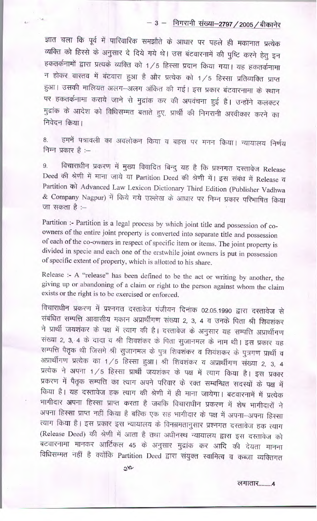## $-3 -$  निगरानी संख्या-2797 / 2005 / बीकानेर

ज्ञात चला कि पूर्व में पारिवारिक समझौते के आधार पर पहले ही मकानात प्रत्येक व्यक्ति को हिस्से के अनुसार दे दिये गये थे। उस बंटवारनामें की पुष्टि करने हेतु इन हकतर्कनामों द्वारा प्रत्यके व्यक्ति को 1/5 हिस्सा प्रदान किया गया। यह हकतर्कनामा न होकर वास्तव में बंटवारा हुआ है और प्रत्येक को 1/5 हिस्सा प्रतिव्यक्ति प्राप्त हुआ। उसकी मालियत अलग-अलग अंकित की गई। इस प्रकार बंटवारनामा के स्थान पर हकतर्कनामा कराये जाने से मुद्रांक कर की अपवंचना हुई है। उन्होंने कलक्टर मुद्रांक के आदेश को विधिसम्मत बताते हुए, प्रार्थी की निगरानी अस्वीकार करने का निवेदन किया।

हमनें पत्रावली का अवलोकन किया व बहस पर मनन किया। न्यायालय निर्णय 8. निम्न प्रकार हैं :--

विचाराधीन प्रकरण में मुख्य विवादित बिन्दु यह है कि प्रश्नगत दस्तावेज Release 9. Deed की श्रेणी में माना जाये या Partition Deed की श्रेणी में। इस संबंध में Release व Partition को Advanced Law Lexicon Dictionary Third Edition (Publisher Vadhwa & Company Nagpur) में किये गये उल्लेख के आधार पर निम्न प्रकार परिभाषित किया जा सकता है :–

Partition :- Partition is a legal process by which joint title and possession of coowners of the entire joint property is converted into separate title and possession of each of the co-owners in respect of specific item or items. The joint property is divided in specie and each one of the erstwhile joint owners is put in possession of specific extent of property, which is allotted to his share.

Release :- A "release" has been defined to be the act or writing by another, the giving up or abandoning of a claim or right to the person against whom the claim exists or the right is to be exercised or enforced.

विचाराधीन प्रकरण में प्रश्नगत दस्तावेज पंजीयन दिनांक 02.05.1990 द्वारा दस्तावेज से संबंधित सम्पत्ति आवासीय मकान अप्रार्थीगण संख्या 2, 3, 4 व उनके पिता श्री शिवशंकर ने प्रार्थी जयशंकर के पक्ष में त्याग की है। दस्तावेज के अनुसार यह सम्पत्ति अप्रार्थीगण संख्या 2, 3, 4 के दादा व श्री शिवशंकर के पिता सुजानमल के नाम थी। इस प्रकार यह सम्पत्ति पैतृक थी जिसमे श्री सुजानमल के पुत्र शिवशंकर व शिवंशकर के पुत्रगण प्रार्थी व अप्रार्थीगण प्रत्येक का 1/5 हिस्सा हुआ। श्री शिवशंकर व अप्रार्थीगण संख्या 2, 3, 4 प्रत्येक ने अपना 1/5 हिस्सा प्रार्थी जयशंकर के पक्ष में त्याग किया है। इस प्रकार प्रकरण में पैतृक सम्पत्ति का त्याग अपने परिवार के रक्त सम्बन्धित सदस्यों के पक्ष में किया है। यह दस्तावेज हक त्याग की श्रेणी में ही माना जायेगा। बटवारनामें में प्रत्येक भागीदार अपना हिस्सा प्राप्त करता है जबकि विचाराधीन प्रकरण में शेष भागीदारों ने अपना हिस्सा प्राप्त नहीं किया है बल्कि एक सह भागीदार के पक्ष में अपना-अपना हिस्सा त्याग किया है। इस प्रकार इस न्यायालय के विनम्रमतानुसार प्रश्नगत दस्तावेज हक त्याग (Release Deed) की श्रेणी में आता है तथा अधीनस्थ न्यायालय द्वारा इस दस्तावेज को बटवारनामा मानकर आर्टिकल 45 के अनुसार मुद्रांक कर आदि की देयता मानना विधिसम्मत नहीं है क्योंकि Partition Deed द्वारा संयुक्त स्वामित्व व कब्जा व्यक्तिगत

लगातार.........4